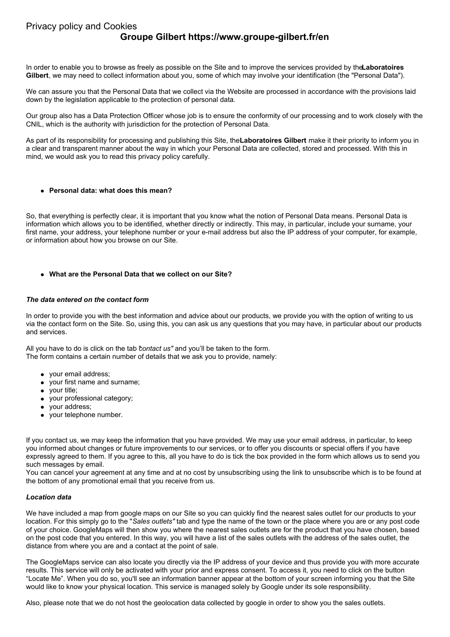# **Groupe Gilbert https://www.groupe-gilbert.fr/en**

In order to enable you to browse as freely as possible on the Site and to improve the services provided by the**Laboratoires Gilbert**, we may need to collect information about you, some of which may involve your identification (the "Personal Data").

We can assure you that the Personal Data that we collect via the Website are processed in accordance with the provisions laid down by the legislation applicable to the protection of personal data.

Our group also has a Data Protection Officer whose job is to ensure the conformity of our processing and to work closely with the CNIL, which is the authority with jurisdiction for the protection of Personal Data.

As part of its responsibility for processing and publishing this Site, the**Laboratoires Gilbert** make it their priority to inform you in a clear and transparent manner about the way in which your Personal Data are collected, stored and processed. With this in mind, we would ask you to read this privacy policy carefully.

## **Personal data: what does this mean?**

So, that everything is perfectly clear, it is important that you know what the notion of Personal Data means. Personal Data is information which allows you to be identified, whether directly or indirectly. This may, in particular, include your surname, your first name, your address, your telephone number or your e-mail address but also the IP address of your computer, for example, or information about how you browse on our Site.

## **What are the Personal Data that we collect on our Site?**

## *The data entered on the contact form*

In order to provide you with the best information and advice about our products, we provide you with the option of writing to us via the contact form on the Site. So, using this, you can ask us any questions that you may have, in particular about our products and services.

All you have to do is click on the tab "*contact us"* and you'll be taken to the form. The form contains a certain number of details that we ask you to provide, namely:

- your email address;
- your first name and surname;
- your title;
- your professional category;
- your address;
- your telephone number.

If you contact us, we may keep the information that you have provided. We may use your email address, in particular, to keep you informed about changes or future improvements to our services, or to offer you discounts or special offers if you have expressly agreed to them. If you agree to this, all you have to do is tick the box provided in the form which allows us to send you such messages by email.

You can cancel your agreement at any time and at no cost by unsubscribing using the link to unsubscribe which is to be found at the bottom of any promotional email that you receive from us.

#### *Location data*

We have included a map from google maps on our Site so you can quickly find the nearest sales outlet for our products to your location. For this simply go to the "*Sales outlets"* tab and type the name of the town or the place where you are or any post code of your choice. GoogleMaps will then show you where the nearest sales outlets are for the product that you have chosen, based on the post code that you entered. In this way, you will have a list of the sales outlets with the address of the sales outlet, the distance from where you are and a contact at the point of sale.

The GoogleMaps service can also locate you directly via the IP address of your device and thus provide you with more accurate results. This service will only be activated with your prior and express consent. To access it, you need to click on the button "Locate Me". When you do so, you'll see an information banner appear at the bottom of your screen informing you that the Site would like to know your physical location. This service is managed solely by Google under its sole responsibility.

Also, please note that we do not host the geolocation data collected by google in order to show you the sales outlets.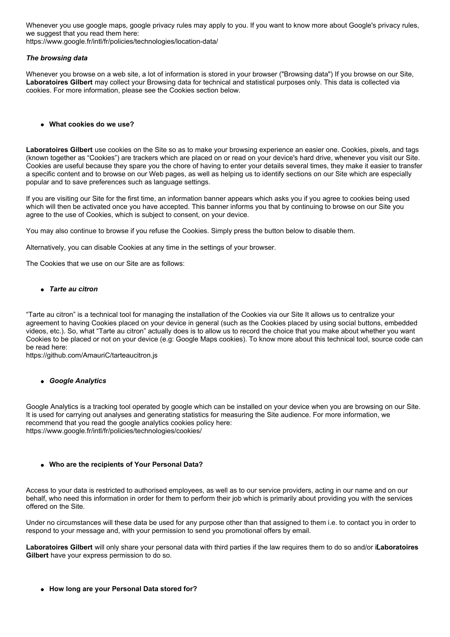Whenever you use google maps, google privacy rules may apply to you. If you want to know more about Google's privacy rules, we suggest that you read them here:

https://www.google.fr/intl/fr/policies/technologies/location-data/

## *The browsing data*

Whenever you browse on a web site, a lot of information is stored in your browser ("Browsing data") If you browse on our Site, **Laboratoires Gilbert** may collect your Browsing data for technical and statistical purposes only. This data is collected via cookies. For more information, please see the Cookies section below.

**What cookies do we use?**

**Laboratoires Gilbert** use cookies on the Site so as to make your browsing experience an easier one. Cookies, pixels, and tags (known together as "Cookies") are trackers which are placed on or read on your device's hard drive, whenever you visit our Site. Cookies are useful because they spare you the chore of having to enter your details several times, they make it easier to transfer a specific content and to browse on our Web pages, as well as helping us to identify sections on our Site which are especially popular and to save preferences such as language settings.

If you are visiting our Site for the first time, an information banner appears which asks you if you agree to cookies being used which will then be activated once you have accepted. This banner informs you that by continuing to browse on our Site you agree to the use of Cookies, which is subject to consent, on your device.

You may also continue to browse if you refuse the Cookies. Simply press the button below to disable them.

Alternatively, you can disable Cookies at any time in the settings of your browser.

The Cookies that we use on our Site are as follows:

*Tarte au citron*

"Tarte au citron" is a technical tool for managing the installation of the Cookies via our Site It allows us to centralize your agreement to having Cookies placed on your device in general (such as the Cookies placed by using social buttons, embedded videos, etc.). So, what "Tarte au citron" actually does is to allow us to record the choice that you make about whether you want Cookies to be placed or not on your device (e.g: Google Maps cookies). To know more about this technical tool, source code can be read here:

https://github.com/AmauriC/tarteaucitron.js

#### *Google Analytics*

Google Analytics is a tracking tool operated by google which can be installed on your device when you are browsing on our Site. It is used for carrying out analyses and generating statistics for measuring the Site audience. For more information, we recommend that you read the google analytics cookies policy here: https://www.google.fr/intl/fr/policies/technologies/cookies/

# **Who are the recipients of Your Personal Data?**

Access to your data is restricted to authorised employees, as well as to our service providers, acting in our name and on our behalf, who need this information in order for them to perform their job which is primarily about providing you with the services offered on the Site.

Under no circumstances will these data be used for any purpose other than that assigned to them i.e. to contact you in order to respond to your message and, with your permission to send you promotional offers by email.

**Laboratoires Gilbert** will only share your personal data with third parties if the law requires them to do so and/or i**L**f **aboratoires Gilbert** have your express permission to do so.

**How long are your Personal Data stored for?**